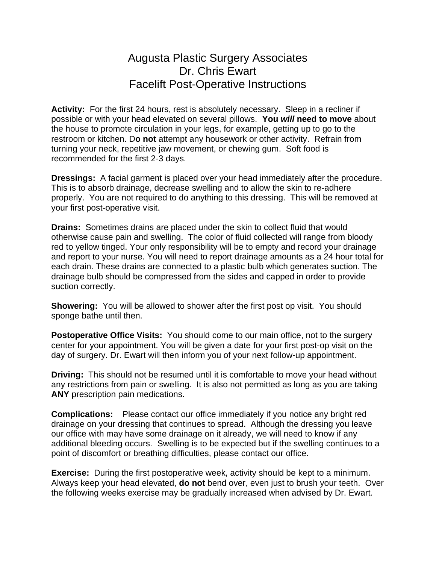## Augusta Plastic Surgery Associates Dr. Chris Ewart Facelift Post-Operative Instructions

**Activity:** For the first 24 hours, rest is absolutely necessary. Sleep in a recliner if possible or with your head elevated on several pillows. **You** *will* **need to move** about the house to promote circulation in your legs, for example, getting up to go to the restroom or kitchen. D**o not** attempt any housework or other activity. Refrain from turning your neck, repetitive jaw movement, or chewing gum. Soft food is recommended for the first 2-3 days.

**Dressings:** A facial garment is placed over your head immediately after the procedure. This is to absorb drainage, decrease swelling and to allow the skin to re-adhere properly. You are not required to do anything to this dressing. This will be removed at your first post-operative visit.

**Drains:** Sometimes drains are placed under the skin to collect fluid that would otherwise cause pain and swelling. The color of fluid collected will range from bloody red to yellow tinged. Your only responsibility will be to empty and record your drainage and report to your nurse. You will need to report drainage amounts as a 24 hour total for each drain. These drains are connected to a plastic bulb which generates suction. The drainage bulb should be compressed from the sides and capped in order to provide suction correctly.

**Showering:** You will be allowed to shower after the first post op visit. You should sponge bathe until then.

**Postoperative Office Visits:** You should come to our main office, not to the surgery center for your appointment. You will be given a date for your first post-op visit on the day of surgery. Dr. Ewart will then inform you of your next follow-up appointment.

**Driving:** This should not be resumed until it is comfortable to move your head without any restrictions from pain or swelling. It is also not permitted as long as you are taking **ANY** prescription pain medications.

**Complications:** Please contact our office immediately if you notice any bright red drainage on your dressing that continues to spread. Although the dressing you leave our office with may have some drainage on it already, we will need to know if any additional bleeding occurs. Swelling is to be expected but if the swelling continues to a point of discomfort or breathing difficulties, please contact our office.

**Exercise:** During the first postoperative week, activity should be kept to a minimum. Always keep your head elevated, **do not** bend over, even just to brush your teeth. Over the following weeks exercise may be gradually increased when advised by Dr. Ewart.